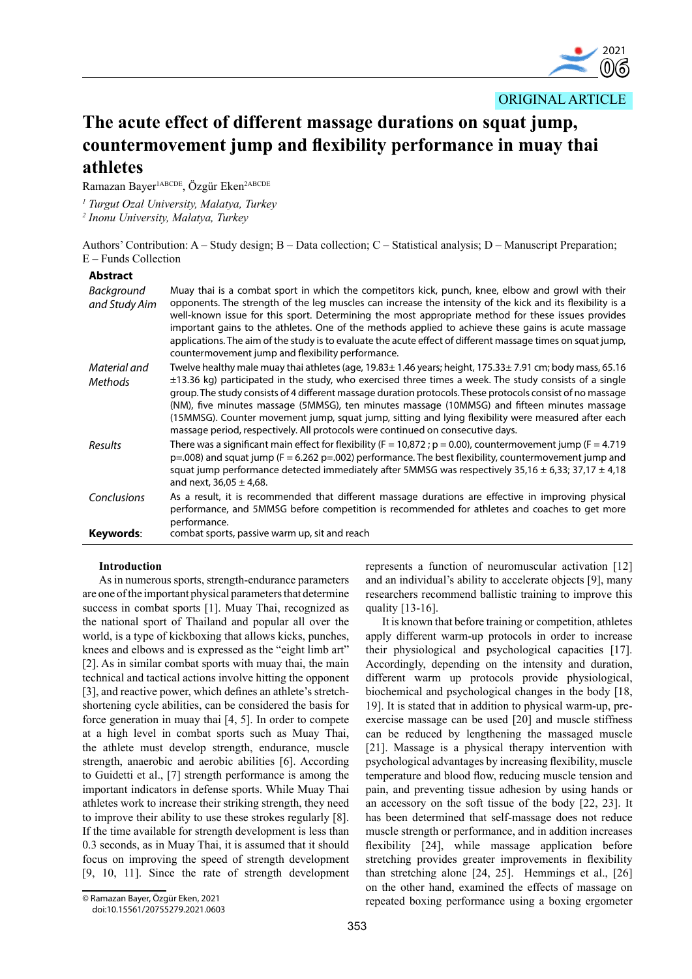

ORIGINAL ARTICLE

# **The acute effect of different massage durations on squat jump, countermovement jump and flexibility performance in muay thai athletes**

Ramazan Bayer<sup>1ABCDE</sup>, Özgür Eken<sup>2ABCDE</sup>

*1 Turgut Ozal University, Malatya, Turkey* 

*2 Inonu University, Malatya, Turkey*

Authors' Contribution: A – Study design; B – Data collection; C – Statistical analysis; D – Manuscript Preparation; E – Funds Collection

| <b>Abstract</b>             |                                                                                                                                                                                                                                                                                                                                                                                                                                                                                                                                                                                                                                  |
|-----------------------------|----------------------------------------------------------------------------------------------------------------------------------------------------------------------------------------------------------------------------------------------------------------------------------------------------------------------------------------------------------------------------------------------------------------------------------------------------------------------------------------------------------------------------------------------------------------------------------------------------------------------------------|
| Background<br>and Study Aim | Muay thai is a combat sport in which the competitors kick, punch, knee, elbow and growl with their<br>opponents. The strength of the leg muscles can increase the intensity of the kick and its flexibility is a<br>well-known issue for this sport. Determining the most appropriate method for these issues provides<br>important gains to the athletes. One of the methods applied to achieve these gains is acute massage<br>applications. The aim of the study is to evaluate the acute effect of different massage times on squat jump,<br>countermovement jump and flexibility performance.                               |
| Material and<br>Methods     | Twelve healthy male muay thai athletes (age, 19.83± 1.46 years; height, 175.33± 7.91 cm; body mass, 65.16<br>$\pm$ 13.36 kg) participated in the study, who exercised three times a week. The study consists of a single<br>group. The study consists of 4 different massage duration protocols. These protocols consist of no massage<br>(NM), five minutes massage (5MMSG), ten minutes massage (10MMSG) and fifteen minutes massage<br>(15MMSG). Counter movement jump, squat jump, sitting and lying flexibility were measured after each<br>massage period, respectively. All protocols were continued on consecutive days. |
| Results                     | There was a significant main effect for flexibility ( $F = 10,872$ ; $p = 0.00$ ), countermovement jump ( $F = 4.719$ )<br>$p=0.008$ ) and squat jump (F = 6.262 p=.002) performance. The best flexibility, countermovement jump and<br>squat jump performance detected immediately after 5MMSG was respectively 35,16 $\pm$ 6,33; 37,17 $\pm$ 4,18<br>and next, $36,05 \pm 4,68$ .                                                                                                                                                                                                                                              |
| Conclusions                 | As a result, it is recommended that different massage durations are effective in improving physical<br>performance, and 5MMSG before competition is recommended for athletes and coaches to get more<br>performance.                                                                                                                                                                                                                                                                                                                                                                                                             |
| Keywords:                   | combat sports, passive warm up, sit and reach                                                                                                                                                                                                                                                                                                                                                                                                                                                                                                                                                                                    |

# **Introduction**

As in numerous sports, strength-endurance parameters are one of the important physical parameters that determine success in combat sports [1]. Muay Thai, recognized as the national sport of Thailand and popular all over the world, is a type of kickboxing that allows kicks, punches, knees and elbows and is expressed as the "eight limb art" [2]. As in similar combat sports with muay thai, the main technical and tactical actions involve hitting the opponent [3], and reactive power, which defines an athlete's stretchshortening cycle abilities, can be considered the basis for force generation in muay thai [4, 5]. In order to compete at a high level in combat sports such as Muay Thai, the athlete must develop strength, endurance, muscle strength, anaerobic and aerobic abilities [6]. According to Guidetti et al., [7] strength performance is among the important indicators in defense sports. While Muay Thai athletes work to increase their striking strength, they need to improve their ability to use these strokes regularly [8]. If the time available for strength development is less than 0.3 seconds, as in Muay Thai, it is assumed that it should focus on improving the speed of strength development [9, 10, 11]. Since the rate of strength development

It is known that before training or competition, athletes apply different warm-up protocols in order to increase their physiological and psychological capacities [17]. Accordingly, depending on the intensity and duration, different warm up protocols provide physiological, biochemical and psychological changes in the body [18, 19]. It is stated that in addition to physical warm-up, preexercise massage can be used [20] and muscle stiffness can be reduced by lengthening the massaged muscle [21]. Massage is a physical therapy intervention with psychological advantages by increasing flexibility, muscle temperature and blood flow, reducing muscle tension and pain, and preventing tissue adhesion by using hands or an accessory on the soft tissue of the body [22, 23]. It has been determined that self-massage does not reduce muscle strength or performance, and in addition increases flexibility [24], while massage application before stretching provides greater improvements in flexibility than stretching alone [24, 25]. Hemmings et al., [26] on the other hand, examined the effects of massage on repeated boxing performance using a boxing ergometer

represents a function of neuromuscular activation [12] and an individual's ability to accelerate objects [9], many researchers recommend ballistic training to improve this quality [13-16].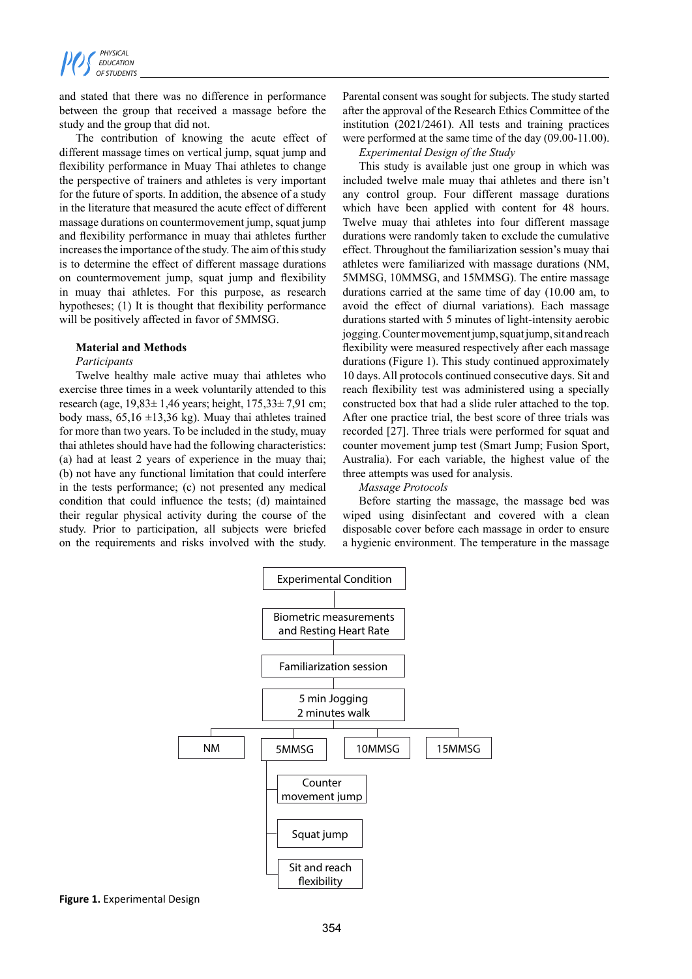

and stated that there was no difference in performance between the group that received a massage before the study and the group that did not.

The contribution of knowing the acute effect of different massage times on vertical jump, squat jump and flexibility performance in Muay Thai athletes to change the perspective of trainers and athletes is very important for the future of sports. In addition, the absence of a study in the literature that measured the acute effect of different massage durations on countermovement jump, squat jump and flexibility performance in muay thai athletes further increases the importance of the study. The aim of this study is to determine the effect of different massage durations on countermovement jump, squat jump and flexibility in muay thai athletes. For this purpose, as research hypotheses; (1) It is thought that flexibility performance will be positively affected in favor of 5MMSG.

#### **Material and Methods**

### *Participants*

Twelve healthy male active muay thai athletes who exercise three times in a week voluntarily attended to this research (age, 19,83± 1,46 years; height, 175,33± 7,91 cm; body mass,  $65.16 \pm 13.36$  kg). Muay thai athletes trained for more than two years. To be included in the study, muay thai athletes should have had the following characteristics: (a) had at least 2 years of experience in the muay thai; (b) not have any functional limitation that could interfere in the tests performance; (c) not presented any medical condition that could influence the tests; (d) maintained their regular physical activity during the course of the study. Prior to participation, all subjects were briefed on the requirements and risks involved with the study. Parental consent was sought for subjects. The study started after the approval of the Research Ethics Committee of the institution (2021/2461). All tests and training practices were performed at the same time of the day (09.00-11.00).

*Experimental Design of the Study*

This study is available just one group in which was included twelve male muay thai athletes and there isn't any control group. Four different massage durations which have been applied with content for 48 hours. Twelve muay thai athletes into four different massage durations were randomly taken to exclude the cumulative effect. Throughout the familiarization session's muay thai athletes were familiarized with massage durations (NM, 5MMSG, 10MMSG, and 15MMSG). The entire massage durations carried at the same time of day (10.00 am, to avoid the effect of diurnal variations). Each massage durations started with 5 minutes of light-intensity aerobic jogging. Counter movement jump, squat jump, sit and reach flexibility were measured respectively after each massage durations (Figure 1). This study continued approximately 10 days. All protocols continued consecutive days. Sit and reach flexibility test was administered using a specially constructed box that had a slide ruler attached to the top. After one practice trial, the best score of three trials was recorded [27]. Three trials were performed for squat and counter movement jump test (Smart Jump; Fusion Sport, Australia). For each variable, the highest value of the three attempts was used for analysis.

#### *Massage Protocols*

Before starting the massage, the massage bed was wiped using disinfectant and covered with a clean disposable cover before each massage in order to ensure a hygienic environment. The temperature in the massage



**Figure 1.** Experimental Design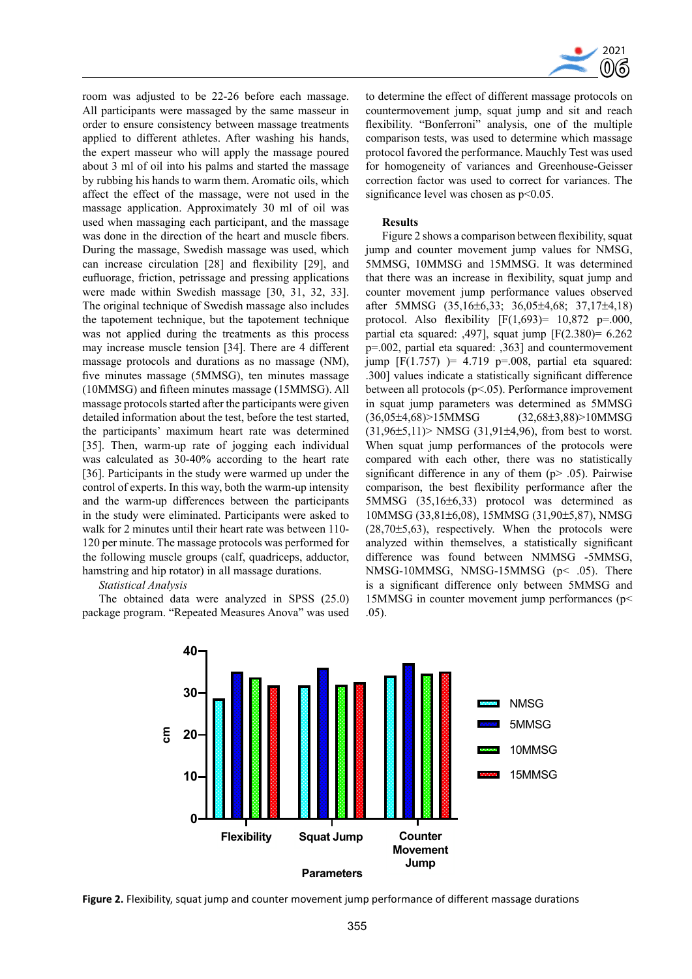

room was adjusted to be 22-26 before each massage. All participants were massaged by the same masseur in order to ensure consistency between massage treatments applied to different athletes. After washing his hands, the expert masseur who will apply the massage poured about 3 ml of oil into his palms and started the massage by rubbing his hands to warm them. Aromatic oils, which affect the effect of the massage, were not used in the massage application. Approximately 30 ml of oil was used when massaging each participant, and the massage was done in the direction of the heart and muscle fibers. During the massage, Swedish massage was used, which can increase circulation [28] and flexibility [29], and eufluorage, friction, petrissage and pressing applications were made within Swedish massage [30, 31, 32, 33]. The original technique of Swedish massage also includes the tapotement technique, but the tapotement technique was not applied during the treatments as this process may increase muscle tension [34]. There are 4 different massage protocols and durations as no massage (NM), five minutes massage (5MMSG), ten minutes massage (10MMSG) and fifteen minutes massage (15MMSG). All massage protocols started after the participants were given detailed information about the test, before the test started, the participants' maximum heart rate was determined [35]. Then, warm-up rate of jogging each individual was calculated as 30-40% according to the heart rate [36]. Participants in the study were warmed up under the control of experts. In this way, both the warm-up intensity and the warm-up differences between the participants in the study were eliminated. Participants were asked to walk for 2 minutes until their heart rate was between 110- 120 per minute. The massage protocols was performed for the following muscle groups (calf, quadriceps, adductor, hamstring and hip rotator) in all massage durations.

*Statistical Analysis*

The obtained data were analyzed in SPSS (25.0) package program. "Repeated Measures Anova" was used to determine the effect of different massage protocols on countermovement jump, squat jump and sit and reach flexibility. "Bonferroni" analysis, one of the multiple comparison tests, was used to determine which massage protocol favored the performance. Mauchly Test was used for homogeneity of variances and Greenhouse-Geisser correction factor was used to correct for variances. The significance level was chosen as  $p<0.05$ .

### **Results**

Figure 2 shows a comparison between flexibility, squat jump and counter movement jump values for NMSG, 5MMSG, 10MMSG and 15MMSG. It was determined that there was an increase in flexibility, squat jump and counter movement jump performance values observed after 5MMSG (35,16±6,33; 36,05±4,68; 37,17±4,18) protocol. Also flexibility  $[F(1,693) = 10,872 \text{ p} = .000,$ partial eta squared: ,497], squat jump [F(2.380)= 6.262 p=.002, partial eta squared: ,363] and countermovement jump  $[F(1.757) = 4.719 p=.008$ , partial eta squared: .300] values indicate a statistically significant difference between all protocols (p<.05). Performance improvement in squat jump parameters was determined as 5MMSG (36,05±4,68)>15MMSG (32,68±3,88)>10MMSG  $(31.96\pm5.11)$  NMSG  $(31.91\pm4.96)$ , from best to worst. When squat jump performances of the protocols were compared with each other, there was no statistically significant difference in any of them  $(p > 0.05)$ . Pairwise comparison, the best flexibility performance after the 5MMSG (35,16±6,33) protocol was determined as 10MMSG (33,81±6,08), 15MMSG (31,90±5,87), NMSG  $(28,70\pm5,63)$ , respectively. When the protocols were analyzed within themselves, a statistically significant difference was found between NMMSG -5MMSG, NMSG-10MMSG, NMSG-15MMSG (p< .05). There is a significant difference only between 5MMSG and 15MMSG in counter movement jump performances (p< .05).



**Figure 2.** Flexibility, squat jump and counter movement jump performance of different massage durations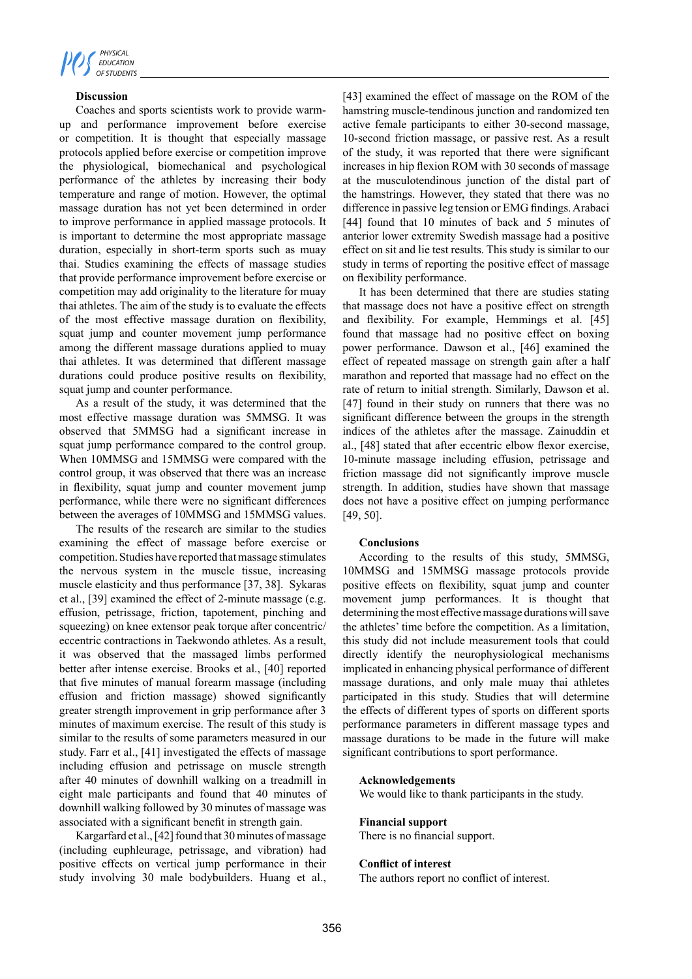

# **Discussion**

Coaches and sports scientists work to provide warmup and performance improvement before exercise or competition. It is thought that especially massage protocols applied before exercise or competition improve the physiological, biomechanical and psychological performance of the athletes by increasing their body temperature and range of motion. However, the optimal massage duration has not yet been determined in order to improve performance in applied massage protocols. It is important to determine the most appropriate massage duration, especially in short-term sports such as muay thai. Studies examining the effects of massage studies that provide performance improvement before exercise or competition may add originality to the literature for muay thai athletes. The aim of the study is to evaluate the effects of the most effective massage duration on flexibility, squat jump and counter movement jump performance among the different massage durations applied to muay thai athletes. It was determined that different massage durations could produce positive results on flexibility, squat jump and counter performance.

As a result of the study, it was determined that the most effective massage duration was 5MMSG. It was observed that 5MMSG had a significant increase in squat jump performance compared to the control group. When 10MMSG and 15MMSG were compared with the control group, it was observed that there was an increase in flexibility, squat jump and counter movement jump performance, while there were no significant differences between the averages of 10MMSG and 15MMSG values.

The results of the research are similar to the studies examining the effect of massage before exercise or competition. Studies have reported that massage stimulates the nervous system in the muscle tissue, increasing muscle elasticity and thus performance [37, 38]. Sykaras et al., [39] examined the effect of 2-minute massage (e.g. effusion, petrissage, friction, tapotement, pinching and squeezing) on knee extensor peak torque after concentric/ eccentric contractions in Taekwondo athletes. As a result, it was observed that the massaged limbs performed better after intense exercise. Brooks et al., [40] reported that five minutes of manual forearm massage (including effusion and friction massage) showed significantly greater strength improvement in grip performance after 3 minutes of maximum exercise. The result of this study is similar to the results of some parameters measured in our study. Farr et al., [41] investigated the effects of massage including effusion and petrissage on muscle strength after 40 minutes of downhill walking on a treadmill in eight male participants and found that 40 minutes of downhill walking followed by 30 minutes of massage was associated with a significant benefit in strength gain.

Kargarfard et al., [42] found that 30 minutes of massage (including euphleurage, petrissage, and vibration) had positive effects on vertical jump performance in their study involving 30 male bodybuilders. Huang et al.,

[43] examined the effect of massage on the ROM of the hamstring muscle-tendinous junction and randomized ten active female participants to either 30-second massage, 10-second friction massage, or passive rest. As a result of the study, it was reported that there were significant increases in hip flexion ROM with 30 seconds of massage at the musculotendinous junction of the distal part of the hamstrings. However, they stated that there was no difference in passive leg tension or EMG findings. Arabaci [44] found that 10 minutes of back and 5 minutes of anterior lower extremity Swedish massage had a positive effect on sit and lie test results. This study is similar to our study in terms of reporting the positive effect of massage on flexibility performance.

It has been determined that there are studies stating that massage does not have a positive effect on strength and flexibility. For example, Hemmings et al. [45] found that massage had no positive effect on boxing power performance. Dawson et al., [46] examined the effect of repeated massage on strength gain after a half marathon and reported that massage had no effect on the rate of return to initial strength. Similarly, Dawson et al. [47] found in their study on runners that there was no significant difference between the groups in the strength indices of the athletes after the massage. Zainuddin et al., [48] stated that after eccentric elbow flexor exercise, 10-minute massage including effusion, petrissage and friction massage did not significantly improve muscle strength. In addition, studies have shown that massage does not have a positive effect on jumping performance [49, 50].

## **Conclusions**

According to the results of this study, 5MMSG, 10MMSG and 15MMSG massage protocols provide positive effects on flexibility, squat jump and counter movement jump performances. It is thought that determining the most effective massage durations will save the athletes' time before the competition. As a limitation, this study did not include measurement tools that could directly identify the neurophysiological mechanisms implicated in enhancing physical performance of different massage durations, and only male muay thai athletes participated in this study. Studies that will determine the effects of different types of sports on different sports performance parameters in different massage types and massage durations to be made in the future will make significant contributions to sport performance.

## **Acknowledgements**

We would like to thank participants in the study.

## **Financial support**

There is no financial support.

## **Conflict of interest**

The authors report no conflict of interest.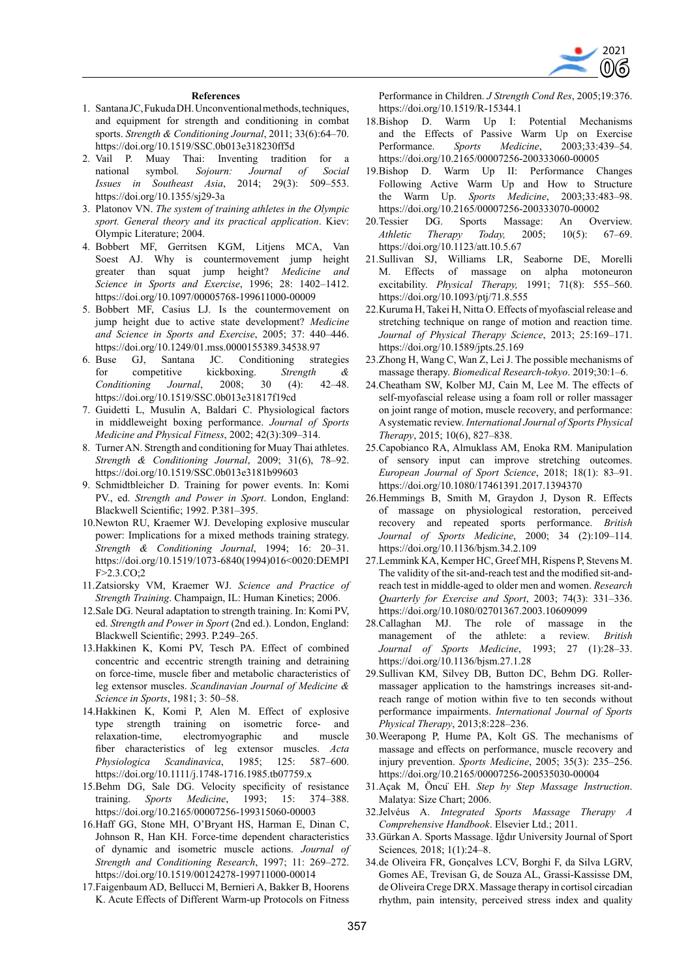

#### **References**

- 1. Santana JC, Fukuda DH. Unconventional methods, techniques, and equipment for strength and conditioning in combat sports. *Strength & Conditioning Journal*, 2011; 33(6):64–70. https://doi.org/10.1519/SSC.0b013e318230ff5d
- 2. Vail P. Muay Thai: Inventing tradition for a national symbol*. Sojourn: Journal of Social Issues in Southeast Asia*, 2014; 29(3): 509–553. https://doi.org/10.1355/sj29-3a
- 3. Platonov VN. *The system of training athletes in the Olympic sport. General theory and its practical application*. Kiev: Olympic Literature; 2004.
- 4. Bobbert MF, Gerritsen KGM, Litjens MCA, Van Soest AJ. Why is countermovement jump height greater than squat jump height? *Medicine and Science in Sports and Exercise*, 1996; 28: 1402–1412. https://doi.org/10.1097/00005768-199611000-00009
- 5. Bobbert MF, Casius LJ. Is the countermovement on jump height due to active state development? *Medicine and Science in Sports and Exercise*, 2005; 37: 440–446. https://doi.org/10.1249/01.mss.0000155389.34538.97
- 6. Buse GJ, Santana JC. Conditioning strategies for competitive kickboxing. *Strength & Conditioning Journal*, 2008; 30 (4): 42–48. https://doi.org/10.1519/SSC.0b013e31817f19cd
- 7. Guidetti L, Musulin A, Baldari C. Physiological factors in middleweight boxing performance. *Journal of Sports Medicine and Physical Fitness*, 2002; 42(3):309–314.
- 8. Turner AN. Strength and conditioning for Muay Thai athletes. *Strength & Conditioning Journal*, 2009; 31(6), 78–92. https://doi.org/10.1519/SSC.0b013e3181b99603
- 9. Schmidtbleicher D. Training for power events. In: Komi PV., ed. *Strength and Power in Sport*. London, England: Blackwell Scientific; 1992. P.381–395.
- 10.Newton RU, Kraemer WJ. Developing explosive muscular power: Implications for a mixed methods training strategy. *Strength & Conditioning Journal*, 1994; 16: 20–31. https://doi.org/10.1519/1073-6840(1994)016<0020:DEMPI F>2.3.CO;2
- 11.Zatsiorsky VM, Kraemer WJ. *Science and Practice of Strength Training*. Champaign, IL: Human Kinetics; 2006.
- 12.Sale DG. Neural adaptation to strength training. In: Komi PV, ed. *Strength and Power in Sport* (2nd ed.). London, England: Blackwell Scientific; 2993. P.249–265.
- 13.Hakkinen K, Komi PV, Tesch PA. Effect of combined concentric and eccentric strength training and detraining on force-time, muscle fiber and metabolic characteristics of leg extensor muscles. *Scandinavian Journal of Medicine & Science in Sports*, 1981; 3: 50–58.
- 14.Hakkinen K, Komi P, Alen M. Effect of explosive type strength training on isometric force- and relaxation-time, electromyographic and muscle fiber characteristics of leg extensor muscles. *Acta Physiologica Scandinavica*, 1985; 125: 587–600. https://doi.org/10.1111/j.1748-1716.1985.tb07759.x
- 15.Behm DG, Sale DG. Velocity specificity of resistance training. *Sports Medicine*, 1993; 15: 374–388. https://doi.org/10.2165/00007256-199315060-00003
- 16.Haff GG, Stone MH, O'Bryant HS, Harman E, Dinan C, Johnson R, Han KH. Force-time dependent characteristics of dynamic and isometric muscle actions. *Journal of Strength and Conditioning Research*, 1997; 11: 269–272. https://doi.org/10.1519/00124278-199711000-00014
- 17.Faigenbaum AD, Bellucci M, Bernieri A, Bakker B, Hoorens K. Acute Effects of Different Warm-up Protocols on Fitness

Performance in Children. *J Strength Cond Res*, 2005;19:376. https://doi.org/10.1519/R-15344.1

- 18.Bishop D. Warm Up I: Potential Mechanisms and the Effects of Passive Warm Up on Exercise Performance. *Sports Medicine*, 2003;33:439–54. https://doi.org/10.2165/00007256-200333060-00005
- 19.Bishop D. Warm Up II: Performance Changes Following Active Warm Up and How to Structure the Warm Up. *Sports Medicine*, 2003;33:483–98. https://doi.org/10.2165/00007256-200333070-00002
- 20.Tessier DG. Sports Massage: An Overview. *Athletic Therapy Today,* 2005; 10(5): 67–69. https://doi.org/10.1123/att.10.5.67
- 21.Sullivan SJ, Williams LR, Seaborne DE, Morelli M. Effects of massage on alpha motoneuron excitability. *Physical Therapy,* 1991; 71(8): 555–560. https://doi.org/10.1093/ptj/71.8.555
- 22.Kuruma H, Takei H, Nitta O. Effects of myofascial release and stretching technique on range of motion and reaction time. *Journal of Physical Therapy Science*, 2013; 25:169–171. https://doi.org/10.1589/jpts.25.169
- 23.Zhong H, Wang C, Wan Z, Lei J. The possible mechanisms of massage therapy. *Biomedical Research-tokyo*. 2019;30:1–6.
- 24.Cheatham SW, Kolber MJ, Cain M, Lee M. The effects of self-myofascial release using a foam roll or roller massager on joint range of motion, muscle recovery, and performance: A systematic review. *International Journal of Sports Physical Therapy*, 2015; 10(6), 827–838.
- 25.Capobianco RA, Almuklass AM, Enoka RM. Manipulation of sensory input can improve stretching outcomes. *European Journal of Sport Science*, 2018; 18(1): 83–91. https://doi.org/10.1080/17461391.2017.1394370
- 26.Hemmings B, Smith M, Graydon J, Dyson R. Effects of massage on physiological restoration, perceived recovery and repeated sports performance. *British Journal of Sports Medicine*, 2000; 34 (2):109–114. https://doi.org/10.1136/bjsm.34.2.109
- 27.Lemmink KA, Kemper HC, Greef MH, Rispens P, Stevens M. The validity of the sit-and-reach test and the modified sit-andreach test in middle-aged to older men and women. *Research Quarterly for Exercise and Sport*, 2003; 74(3): 331–336. https://doi.org/10.1080/02701367.2003.10609099
- 28.Callaghan MJ. The role of massage in the management of the athlete: a review. *British Journal of Sports Medicine*, 1993; 27 (1):28–33. https://doi.org/10.1136/bjsm.27.1.28
- 29.Sullivan KM, Silvey DB, Button DC, Behm DG. Rollermassager application to the hamstrings increases sit-andreach range of motion within five to ten seconds without performance impairments. *International Journal of Sports Physical Therapy*, 2013;8:228–236.
- 30.Weerapong P, Hume PA, Kolt GS. The mechanisms of massage and effects on performance, muscle recovery and injury prevention. *Sports Medicine*, 2005; 35(3): 235–256. https://doi.org/10.2165/00007256-200535030-00004
- 31.Açak M, Öncü EH. *Step by Step Massage Instruction*. Malatya: Size Chart; 2006.
- 32.Jelvéus A. *Integrated Sports Massage Therapy A Comprehensive Handbook*. Elsevier Ltd.; 2011.
- 33.Gürkan A. Sports Massage. Iğdır University Journal of Sport Sciences*,* 2018; 1(1):24–8.
- 34.de Oliveira FR, Gonçalves LCV, Borghi F, da Silva LGRV, Gomes AE, Trevisan G, de Souza AL, Grassi-Kassisse DM, de Oliveira Crege DRX. Massage therapy in cortisol circadian rhythm, pain intensity, perceived stress index and quality